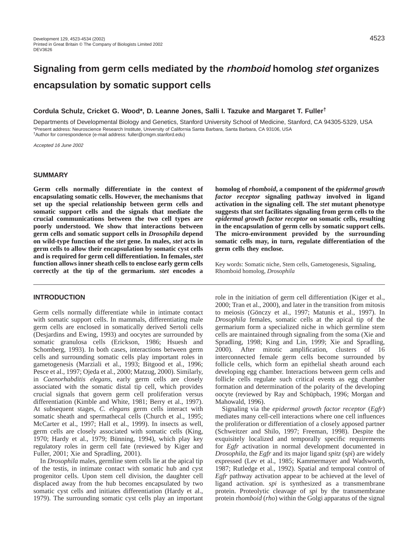# **Signaling from germ cells mediated by the rhomboid homolog stet organizes encapsulation by somatic support cells**

# **Cordula Schulz, Cricket G. Wood\*, D. Leanne Jones, Salli I. Tazuke and Margaret T. Fuller†**

Departments of Developmental Biology and Genetics, Stanford University School of Medicine, Stanford, CA 94305-5329, USA \*Present address: Neuroscience Research Institute, University of California Santa Barbara, Santa Barbara, CA 93106, USA †Author for correspondence (e-mail address: fuller@cmgm.stanford.edu)

Accepted 16 June 2002

# **SUMMARY**

**Germ cells normally differentiate in the context of encapsulating somatic cells. However, the mechanisms that set up the special relationship between germ cells and somatic support cells and the signals that mediate the crucial communications between the two cell types are poorly understood. We show that interactions between germ cells and somatic support cells in** *Drosophila* **depend on wild-type function of the** *stet* **gene. In males,** *stet* **acts in germ cells to allow their encapsulation by somatic cyst cells and is required for germ cell differentiation. In females,** *stet* **function allows inner sheath cells to enclose early germ cells correctly at the tip of the germarium.** *stet* **encodes a**

# **INTRODUCTION**

Germ cells normally differentiate while in intimate contact with somatic support cells. In mammals, differentiating male germ cells are enclosed in somatically derived Sertoli cells (Desjardins and Ewing, 1993) and oocytes are surrounded by somatic granulosa cells (Erickson, 1986; Hsuesh and Schomberg, 1993). In both cases, interactions between germ cells and surrounding somatic cells play important roles in gametogenesis (Marziali et al., 1993; Bitgood et al., 1996; Pesce et al., 1997; Ojeda et al., 2000; Matzug, 2000). Similarly, in *Caenorhabditis elegans,* early germ cells are closely associated with the somatic distal tip cell, which provides crucial signals that govern germ cell proliferation versus differentiation (Kimble and White, 1981; Berry et al., 1997). At subsequent stages, *C. elegans* germ cells interact with somatic sheath and spermathecal cells (Church et al., 1995; McCarter et al., 1997; Hall et al., 1999). In insects as well, germ cells are closely associated with somatic cells (King, 1970; Hardy et al., 1979; Bünning, 1994), which play key regulatory roles in germ cell fate (reviewed by Kiger and Fuller, 2001; Xie and Spradling, 2001).

In *Drosophila* males, germline stem cells lie at the apical tip of the testis, in intimate contact with somatic hub and cyst progenitor cells. Upon stem cell division, the daughter cell displaced away from the hub becomes encapsulated by two somatic cyst cells and initiates differentiation (Hardy et al., 1979). The surrounding somatic cyst cells play an important

**homolog of** *rhomboid***, a component of the** *epidermal growth factor receptor* **signaling pathway involved in ligand activation in the signaling cell. The** *stet* **mutant phenotype suggests that** *stet* **facilitates signaling from germ cells to the** *epidermal growth factor receptor* **on somatic cells, resulting in the encapsulation of germ cells by somatic support cells. The micro-environment provided by the surrounding somatic cells may, in turn, regulate differentiation of the germ cells they enclose.** 

Key words: Somatic niche, Stem cells, Gametogenesis, Signaling, Rhomboid homolog, *Drosophila*

role in the initiation of germ cell differentiation (Kiger et al., 2000; Tran et al., 2000), and later in the transition from mitosis to meiosis (Gönczy et al., 1997; Matunis et al., 1997). In *Drosophila* females, somatic cells at the apical tip of the germarium form a specialized niche in which germline stem cells are maintained through signaling from the soma (Xie and Spradling, 1998; King and Lin, 1999; Xie and Spradling, 2000). After mitotic amplification, clusters of 16 interconnected female germ cells become surrounded by follicle cells, which form an epithelial sheath around each developing egg chamber. Interactions between germ cells and follicle cells regulate such critical events as egg chamber formation and determination of the polarity of the developing oocyte (reviewed by Ray and Schüpbach, 1996; Morgan and Mahowald, 1996).

Signaling via the *epidermal growth factor receptor* (*Egfr*) mediates many cell-cell interactions where one cell influences the proliferation or differentiation of a closely apposed partner (Schweitzer and Shilo, 1997; Freeman, 1998). Despite the exquisitely localized and temporally specific requirements for *Egfr* activation in normal development documented in *Drosophila*, the *Egfr* and its major ligand *spitz* (*spi*) are widely expressed (Lev et al., 1985; Kammermayer and Wadsworth, 1987; Rutledge et al., 1992). Spatial and temporal control of *Egfr* pathway activation appear to be achieved at the level of ligand activation. *spi* is synthesized as a transmembrane protein. Proteolytic cleavage of *spi* by the transmembrane protein rh*omboid* (*rho*) within the Golgi apparatus of the signal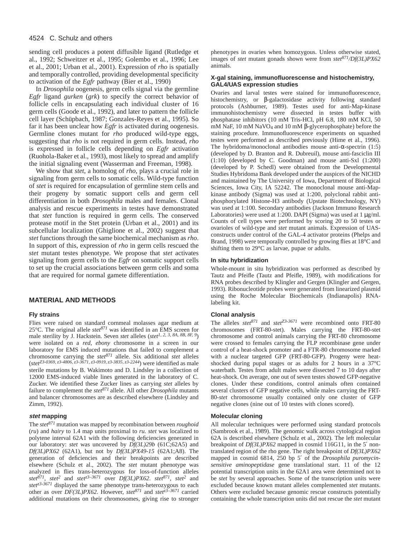#### 4524 C. Schulz and others

sending cell produces a potent diffusible ligand (Rutledge et al., 1992; Schweitzer et al., 1995; Golembo et al., 1996; Lee et al., 2001; Urban et al., 2001). Expression of *rho* is spatially and temporally controlled, providing developmental specificity to activation of the *Egfr* pathway (Bier et al., 1990)

In *Drosophila* oogenesis, germ cells signal via the germline *Egfr* ligand *gurken* (*grk*) to specify the correct behavior of follicle cells in encapsulating each individual cluster of 16 germ cells (Goode et al., 1992), and later to pattern the follicle cell layer (Schüpbach, 1987; Gonzales-Reyes et al., 1995). So far it has been unclear how *Egfr* is activated during oogenesis. Germline clones mutant for *rho* produced wild-type eggs, suggesting that *rho* is not required in germ cells. Instead, *rho* is expressed in follicle cells depending on *Egfr* activation (Ruohola-Baker et al., 1993), most likely to spread and amplify the initial signaling event (Wasserman and Freeman, 1998).

We show that *stet*, a homolog of *rho*, plays a crucial role in signaling from germ cells to somatic cells. Wild-type function of *stet* is required for encapsulation of germline stem cells and their progeny by somatic support cells and germ cell differentiation in both *Drosophila* males and females. Clonal analysis and rescue experiments in testes have demonstrated that *stet* function is required in germ cells. The conserved protease motif in the Stet protein (Urban et al., 2001) and its subcellular localization (Ghiglione et al., 2002) suggest that *stet* functions through the same biochemical mechanism as *rho*. In support of this, expression of *rho* in germ cells rescued the *stet* mutant testes phenotype. We propose that *stet* activates signaling from germ cells to the *Egfr* on somatic support cells to set up the crucial associations between germ cells and soma that are required for normal gamete differentiation.

#### **MATERIAL AND METHODS**

## **Fly strains**

Flies were raised on standard cornmeal molasses agar medium at 25 $\degree$ C. The original allele *stet*<sup>871</sup> was identified in an EMS screen for male sterility by J. Hackstein. Seven *stet* alleles (*stet1, 2, 3, 8A, 8B, 8F, 9*) were isolated on a *red, ebony* chromosome in a screen in our laboratory for EMS induced mutations that failed to complement a chromosome carrying the *stet<sup>871</sup>* allele. Six additional *stet* alleles (*stetZ3-0369, z3-4806, z3-3671, z3-0919, z3-3835, z3-2244*) were identified as male sterile mutations by B. Wakimoto and D. Lindsley in a collection of 12000 EMS-induced viable lines generated in the laboratory of C. Zucker. We identified these Zucker lines as carrying *stet* alleles by failure to complement the *stet871* allele. All other *Drosophila* mutants and balancer chromosomes are as described elsewhere (Lindsley and Zimm, 1992).

## **stet mapping**

The *stet<sup>871</sup>* mutation was mapped by recombination between *roughoid* (*ru*) and *hairy* to 1.4 map units proximal to *ru. stet* was localized to polytene interval 62A1 with the following deficiencies generated in our laboratory: *stet* was uncovered by *Df(3L)29b* (61C;62A5) and *Df(3L)PX62* (62A1), but not by *Df(3L)PX49-15* (62A1;A8). The generation of deficiencies and their breakpoints are described elsewhere (Schulz et al., 2002). The *stet* mutant phenotype was analyzed in flies trans-heterozygous for loss-of-function alleles *stet*<sup>871</sup>, *stet*<sup>2</sup> and *stet*<sup> $z3-3671$  over *Df*(3*L)PX62*. *stet*<sup>871</sup>, *stet*<sup>2</sup> and</sup> *stet*<sup>23-3671</sup> displayed the same phenotype trans-heterozygous to each other as over *DF(3L)PX62*. However, *stet<sup>871</sup>* and *stetz3–3671* carried additional mutations on their chromosomes, giving rise to stronger phenotypes in ovaries when homozygous. Unless otherwise stated, images of *stet* mutant gonads shown were from *stet871/Df(3L)PX62* animals.

## **X-gal staining, immunofluorescense and histochemistry, GAL4/UAS expression studies**

Ovaries and larval testes were stained for immunofluorescence, histochemistry, or β-galactosidase activity following standard protocols (Ashburner, 1989). Testes used for anti-Map-kinase immunohistochemistry were dissected in testes buffer with phosphatase inhibitors (10 mM Tris-HCl, pH 6.8, 180 mM KCl, 50 mM NaF, 10 mM NaVO4 and 10 mM β-glycerophosphate) before the staining procedure. Immunofluorescence experiments on squashed testes were performed as described previously (Hime et al., 1996). The hybridoma/monoclonal antibodies mouse anti-α-spectrin (1:5) (developed by D. Branton and R. Dubreuil), mouse anti-fasciclin III (1:10) (developed by C. Goodman) and mouse anti-Sxl (1:200) (developed by P. Schedl) were obtained from the Developmental Studies Hybridoma Bank developed under the auspices of the NICHD and maintained by The University of Iowa, Department of Biological Sciences, Iowa City, IA 52242. The monoclonal mouse anti-Mapkinase antibody (Sigma) was used at 1:200, polyclonal rabbit antiphosphorylated Histone-H3 antibody (Upstate Biotechnology, NY) was used at 1:100. Secondary antibodies (Jackson Immuno Research Laboratories) were used at 1:200. DAPI (Sigma) was used at 1 µg/ml. Counts of cell types were performed by scoring 20 to 50 testes or ovarioles of wild-type and *stet* mutant animals. Expression of UASconstructs under control of the GAL-4 activator proteins (Phelps and Brand, 1998) were temporally controlled by growing flies at 18°C and shifting them to 29°C as larvae, pupae or adults.

#### **In situ hybridization**

Whole-mount in situ hybridization was performed as described by Tautz and Pfeifle (Tautz and Pfeifle, 1989), with modifications for RNA probes described by Klingler and Gergen (Klingler and Gergen, 1993). Ribonucleotide probes were generated from linearized plasmid using the Roche Molecular Biochemicals (Indianapolis) RNAlabeling kit.

#### **Clonal analysis**

The alleles *stet<sup>871</sup>* and *stetZ3-3671* were recombined onto FRT-80 chromosomes (FRT-80-stet). Males carrying the FRT-80-stet chromosome and control animals carrying the FRT-80 chromosome were crossed to females carrying the FLP recombinase gene under control of a heat-shock promoter and a FTR-80 chromosome marked with a nuclear targeted GFP (FRT-80-GFP). Progeny were heatshocked during pupal stages or as adults for 2 hours in a 37°C waterbath. Testes from adult males were dissected 7 to 10 days after heat-shock. On average, one out of seven testes showed GFP-negative clones. Under these conditions, control animals often contained several clusters of GFP negative cells, while males carrying the FRT-80-*stet* chromosome usually contained only one cluster of GFP negative clones (nine out of 10 testes with clones scored).

#### **Molecular cloning**

All molecular techniques were performed using standard protocols (Sambrook et al., 1989). The genomic walk across cytological region 62A is described elsewhere (Schulz et al., 2002). The left molecular breakpoint of *Df(3L)PX62* mapped in cosmid 116G11, in the 5′ nontranslated region of the rho gene. The right breakpoint of *Df(3L)PX62* mapped in cosmid 6814, 250 bp 5′ of the *Drosophila puromycinsensitive aminopeptidase* gene translational start. 11 of the 12 potential transcription units in the 62A1 area were determined not to be *stet* by several approaches. Some of the transcription units were excluded because known mutant alleles complemented *stet* mutants. Others were excluded because genomic rescue constructs potentially containing the whole transcription units did not rescue the *stet* mutant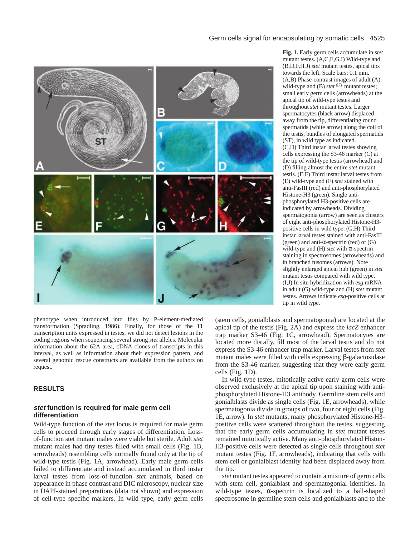

phenotype when introduced into flies by P-element-mediated transformation (Spradling, 1986). Finally, for those of the 11 transcription units expressed in testes, we did not detect lesions in the coding regions when sequencing several strong *stet* alleles. Molecular information about the 62A area, cDNA clones of transcripts in this interval, as well as information about their expression pattern, and several genomic rescue constructs are available from the authors on request.

# **RESULTS**

# **stet function is required for male germ cell differentiation**

Wild-type function of the *stet* locus is required for male germ cells to proceed through early stages of differentiation. Lossof-function stet mutant males were viable but sterile. Adult *stet* mutant males had tiny testes filled with small cells (Fig. 1B, arrowheads) resembling cells normally found only at the tip of wild-type testis (Fig. 1A, arrowhead). Early male germ cells failed to differentiate and instead accumulated in third instar larval testes from loss-of-function *stet* animals, based on appearance in phase contrast and DIC microscopy, nuclear size in DAPI-stained preparations (data not shown) and expression of cell-type specific markers. In wild type, early germ cells **Fig. 1.** Early germ cells accumulate in *stet* mutant testes. (A,C,E,G,I) Wild-type and (B,D,F,H,J) *stet* mutant testes, apical tips towards the left. Scale bars: 0.1 mm. (A,B) Phase-contrast images of adult (A) wild-type and (B) *stet <sup>871</sup>* mutant testes; small early germ cells (arrowheads) at the apical tip of wild-type testes and throughout *stet* mutant testes. Larger spermatocytes (black arrow) displaced away from the tip, differentiating round spermatids (white arrow) along the coil of the testis, bundles of elongated spermatids (ST), in wild type as indicated. (C,D) Third instar larval testes showing cells expressing the S3-46 marker (C) at the tip of wild-type testis (arrowhead) and (D) filling almost the entire *stet* mutant testis. (E,F) Third instar larval testes from (E) wild-type and (F) *stet* stained with anti-FasIII (red) and anti-phosphorylated Histone-H3 (green). Single antiphosphorylated H3-positive cells are indicated by arrowheads. Dividing spermatogonia (arrow) are seen as clusters of eight anti-phosphorylated Histone-H3 positive cells in wild type. (G,H) Third instar larval testes stained with anti-FasIII (green) and anti- $\alpha$ -spectrin (red) of (G) wild-type and (H) *stet* with α-spectrin staining in spectrosomes (arrowheads) and in branched fusomes (arrows). Note slightly enlarged apical hub (green) in *stet* mutant testis compared with wild type. (I,J) In situ hybridization with *esg* mRNA in adult (G) wild-type and (H) *stet* mutant testes. Arrows indicate *esg*-positive cells at tip in wild type.

(stem cells, gonialblasts and spermatogonia) are located at the apical tip of the testis (Fig. 2A) and express the *lacZ* enhancer trap marker S3-46 (Fig. 1C, arrowhead). Spermatocytes are located more distally, fill most of the larval testis and do not express the S3-46 enhancer trap marker. Larval testes from *stet* mutant males were filled with cells expressing β-galactosidase from the S3-46 marker, suggesting that they were early germ cells (Fig. 1D).

In wild-type testes, mitotically active early germ cells were observed exclusively at the apical tip upon staining with antiphosphorylated Histone-H3 antibody. Germline stem cells and gonialblasts divide as single cells (Fig. 1E, arrowheads), while spermatogonia divide in groups of two, four or eight cells (Fig. 1E, arrow). In *stet* mutants, many phosphorylated Histone-H3 positive cells were scattered throughout the testes, suggesting that the early germ cells accumulating in *stet* mutant testes remained mitotically active. Many anti-phosphorylated Histon-H3-positive cells were detected as single cells throughout *stet* mutant testes (Fig. 1F, arrowheads), indicating that cells with stem cell or gonialblast identity had been displaced away from the tip.

*stet* mutant testes appeared to contain a mixture of germ cells with stem cell, gonialblast and spermatogonial identities. In wild-type testes,  $\alpha$ -spectrin is localized to a ball-shaped spectrosome in germline stem cells and gonialblasts and to the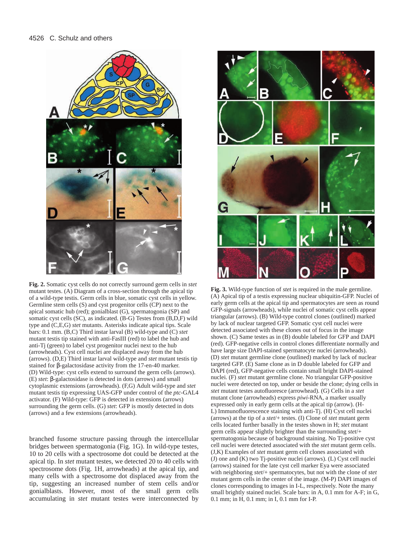

**Fig. 2.** Somatic cyst cells do not correctly surround germ cells in *stet* mutant testes. (A) Diagram of a cross-section through the apical tip of a wild-type testis. Germ cells in blue, somatic cyst cells in yellow. Germline stem cells (S) and cyst progenitor cells (CP) next to the apical somatic hub (red); gonialblast (G), spermatogonia (SP) and somatic cyst cells (SC), as indicated. (B-G) Testes from (B,D,F) wild type and (C,E,G) *stet* mutants. Asterisks indicate apical tips. Scale bars: 0.1 mm. (B,C) Third instar larval (B) wild-type and (C) *stet* mutant testis tip stained with anti-FasIII (red) to label the hub and anti-Tj (green) to label cyst progenitor nuclei next to the hub (arrowheads). Cyst cell nuclei are displaced away from the hub (arrows). (D,E) Third instar larval wild-type and *stet* mutant testis tip stained for β-galactosidase activity from the 17-en-40 marker. (D) Wild-type: cyst cells extend to surround the germ cells (arrows). (E) *stet*: β-galactosidase is detected in dots (arrows) and small cytoplasmic extensions (arrowheads). (F,G) Adult wild-type and *stet* mutant testis tip expressing UAS-GFP under control of the *ptc*-GAL4 activator. (F) Wild-type: GFP is detected in extensions (arrows) surrounding the germ cells. (G) *stet*: GFP is mostly detected in dots (arrows) and a few extensions (arrowheads).

branched fusome structure passing through the intercellular bridges between spermatogonia (Fig. 1G). In wild-type testes, 10 to 20 cells with a spectrosome dot could be detected at the apical tip. In *stet* mutant testes, we detected 20 to 40 cells with spectrosome dots (Fig. 1H, arrowheads) at the apical tip, and many cells with a spectrosome dot displaced away from the tip, suggesting an increased number of stem cells and/or gonialblasts. However, most of the small germ cells accumulating in *stet* mutant testes were interconnected by



**Fig. 3.** Wild-type function of *stet* is required in the male germline. (A) Apical tip of a testis expressing nuclear ubiquitin-GFP. Nuclei of early germ cells at the apical tip and spermatocytes are seen as round GFP-signals (arrowheads), while nuclei of somatic cyst cells appear triangular (arrows). (B) Wild-type control clones (outlined) marked by lack of nuclear targeted GFP. Somatic cyst cell nuclei were detected associated with these clones out of focus in the image shown. (C) Same testes as in (B) double labeled for GFP and DAPI (red). GFP-negative cells in control clones differentiate normally and have large size DAPI-stained spermatocyte nuclei (arrowheads). (D) *stet* mutant germline clone (outlined) marked by lack of nuclear targeted GFP. (E) Same clone as in D double labeled for GFP and DAPI (red), GFP-negative cells contain small bright DAPI-stained nuclei. (F) *stet* mutant germline clone. No triangular GFP-positive nuclei were detected on top, under or beside the clone; dying cells in *stet* mutant testes autofluoresce (arrowhead). (G) Cells in a *stet* mutant clone (arrowheads) express *piwi*-RNA, a marker usually expressed only in early germ cells at the apical tip (arrow). (H-L) Immunofluorescence staining with anti-Tj. (H) Cyst cell nuclei (arrows) at the tip of a *stet*/+ testes. (I) Clone of *stet* mutant germ cells located further basally in the testes shown in H; *stet* mutant germ cells appear slightly brighter than the surrounding *stet*/+ spermatogonia because of background staining. No Tj-positive cyst cell nuclei were detected associated with the *stet* mutant germ cells. (J,K) Examples of *stet* mutant germ cell clones associated with (J) one and (K) two Tj-positive nuclei (arrows). (L) Cyst cell nuclei (arrows) stained for the late cyst cell marker Eya were associated with neighboring *stet*/+ spermatocytes, but not with the clone of *stet* mutant germ cells in the center of the image. (M-P) DAPI images of clones corresponding to images in I-L, respectively. Note the many small brightly stained nuclei. Scale bars: in A, 0.1 mm for A-F; in G, 0.1 mm; in H, 0.1 mm; in I, 0.1 mm for I-P.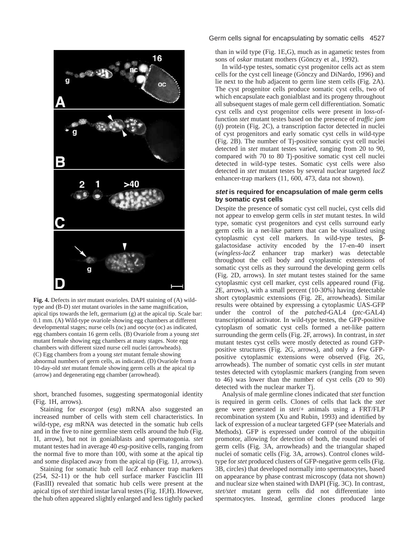

**Fig. 4.** Defects in *stet* mutant ovarioles. DAPI staining of (A) wildtype and (B-D) *stet* mutant ovarioles in the same magnification, apical tips towards the left, germarium (g) at the apical tip. Scale bar: 0.1 mm. (A) Wild-type ovariole showing egg chambers at different developmental stages; nurse cells (nc) and oocyte (oc) as indicated, egg chambers contain 16 germ cells. (B) Ovariole from a young *stet* mutant female showing egg chambers at many stages. Note egg chambers with different sized nurse cell nuclei (arrowheads). (C) Egg chambers from a young *stet* mutant female showing abnormal numbers of germ cells, as indicated. (D) Ovariole from a 10-day-old *stet* mutant female showing germ cells at the apical tip (arrow) and degenerating egg chamber (arrowhead).

short, branched fusomes, suggesting spermatogonial identity (Fig. 1H, arrows).

Staining for *escargot* (*esg*) mRNA also suggested an increased number of cells with stem cell characteristics. In wild-type, *esg* mRNA was detected in the somatic hub cells and in the five to nine germline stem cells around the hub (Fig. 1I, arrow), but not in gonialblasts and spermatogonia. *stet* mutant testes had in average 40 *esg*-positive cells, ranging from the normal five to more than 100, with some at the apical tip and some displaced away from the apical tip (Fig. 1J, arrows).

Staining for somatic hub cell *lacZ* enhancer trap markers (254, S2-11) or the hub cell surface marker Fasciclin III (FasIII) revealed that somatic hub cells were present at the apical tips of *stet* third instar larval testes (Fig. 1F,H). However, the hub often appeared slightly enlarged and less tightly packed

# Germ cells signal for encapsulating by somatic cells 4527

than in wild type (Fig. 1E,G), much as in agametic testes from sons of *oskar* mutant mothers (Gönczy et al., 1992).

In wild-type testes, somatic cyst progenitor cells act as stem cells for the cyst cell lineage (Gönczy and DiNardo, 1996) and lie next to the hub adjacent to germ line stem cells (Fig. 2A). The cyst progenitor cells produce somatic cyst cells, two of which encapsulate each gonialblast and its progeny throughout all subsequent stages of male germ cell differentiation. Somatic cyst cells and cyst progenitor cells were present in loss-offunction *stet* mutant testes based on the presence of *traffic jam* (*tj*) protein (Fig. 2C), a transcription factor detected in nuclei of cyst progenitors and early somatic cyst cells in wild-type (Fig. 2B). The number of Tj-positive somatic cyst cell nuclei detected in *stet* mutant testes varied, ranging from 20 to 90, compared with 70 to 80 Tj-positive somatic cyst cell nuclei detected in wild-type testes. Somatic cyst cells were also detected in *stet* mutant testes by several nuclear targeted *lacZ* enhancer-trap markers (11, 600, 473, data not shown).

# **stet is required for encapsulation of male germ cells by somatic cyst cells**

Despite the presence of somatic cyst cell nuclei, cyst cells did not appear to envelop germ cells in *stet* mutant testes. In wild type, somatic cyst progenitors and cyst cells surround early germ cells in a net-like pattern that can be visualized using cytoplasmic cyst cell markers. In wild-type testes, βgalactosidase activity encoded by the 17-en-40 insert (*wingless-lacZ* enhancer trap marker) was detectable throughout the cell body and cytoplasmic extensions of somatic cyst cells as they surround the developing germ cells (Fig. 2D, arrows). In *stet* mutant testes stained for the same cytoplasmic cyst cell marker, cyst cells appeared round (Fig. 2E, arrows), with a small percent (10-30%) having detectable short cytoplasmic extensions (Fig. 2E, arrowheads). Similar results were obtained by expressing a cytoplasmic UAS-GFP under the control of the *patched*-GAL4 (*ptc*-GAL4) transcriptional activator. In wild-type testes, the GFP-positive cytoplasm of somatic cyst cells formed a net-like pattern surrounding the germ cells (Fig. 2F, arrows). In contrast, in *stet* mutant testes cyst cells were mostly detected as round GFPpositive structures (Fig. 2G, arrows), and only a few GFPpositive cytoplasmic extensions were observed (Fig. 2G, arrowheads). The number of somatic cyst cells in *stet* mutant testes detected with cytoplasmic markers (ranging from seven to 46) was lower than the number of cyst cells (20 to 90) detected with the nuclear marker Tj.

Analysis of male germline clones indicated that *stet* function is required in germ cells. Clones of cells that lack the *stet* gene were generated in *stet*/+ animals using a FRT/FLP recombination system (Xu and Rubin, 1993) and identified by lack of expression of a nuclear targeted GFP (see Materials and Methods). GFP is expressed under control of the ubiquitin promotor, allowing for detection of both, the round nuclei of germ cells (Fig. 3A, arrowheads) and the triangular shaped nuclei of somatic cells (Fig. 3A, arrows). Control clones wildtype for *stet* produced clusters of GFP-negative germ cells (Fig. 3B, circles) that developed normally into spermatocytes, based on appearance by phase contrast microscopy (data not shown) and nuclear size when stained with DAPI (Fig. 3C). In contrast, *stet/stet* mutant germ cells did not differentiate into spermatocytes. Instead, germline clones produced large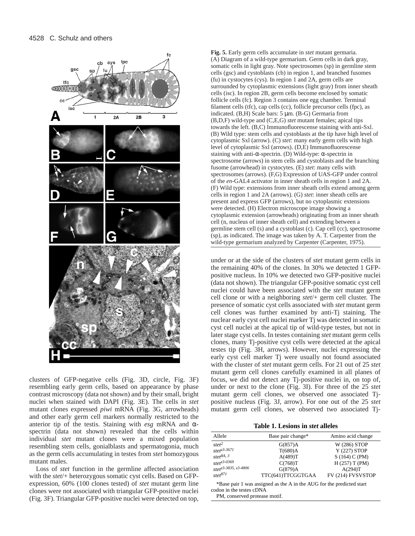

clusters of GFP-negative cells (Fig. 3D, circle, Fig. 3F) resembling early germ cells, based on appearance by phase contrast microscopy (data not shown) and by their small, bright nuclei when stained with DAPI (Fig. 3E). The cells in *stet* mutant clones expressed *piwi* mRNA (Fig. 3G, arrowheads) and other early germ cell markers normally restricted to the anterior tip of the testis. Staining with *esg* mRNA and αspectrin (data not shown) revealed that the cells within individual *stet* mutant clones were a mixed population resembling stem cells, gonialblasts and spermatogonia, much as the germ cells accumulating in testes from *stet* homozygous mutant males.

Loss of *stet* function in the germline affected association with the *stet*/+ heterozygous somatic cyst cells. Based on GFPexpression, 60% (100 clones tested) of *stet* mutant germ line clones were not associated with triangular GFP-positive nuclei (Fig. 3F). Triangular GFP-positive nuclei were detected on top, **Fig. 5.** Early germ cells accumulate in *stet* mutant germaria. (A) Diagram of a wild-type germarium. Germ cells in dark gray, somatic cells in light gray. Note spectrosomes (sp) in germline stem cells (gsc) and cystoblasts (cb) in region 1, and branched fusomes (fu) in cystocytes (cys). In region 1 and 2A, germ cells are surrounded by cytoplasmic extensions (light gray) from inner sheath cells (isc). In region 2B, germ cells become enclosed by somatic follicle cells (fc). Region 3 contains one egg chamber. Terminal filament cells (tfc), cap cells (cc), follicle precursor cells (fpc), as indicated. (B,H) Scale bars: 5 µm. (B-G) Germaria from (B,D,F) wild-type and (C,E,G) *stet* mutant females; apical tips towards the left. (B,C) Immunofluorescense staining with anti-Sxl. (B) Wild type: stem cells and cystoblasts at the tip have high level of cytoplasmic Sxl (arrow). (C) *stet*: many early germ cells with high level of cytoplasmic Sxl (arrows). (D,E) Immunofluorescense staining with anti-α-spectrin. (D) Wild-type: α-spectrin in spectrosome (arrows) in stem cells and cystoblasts and the branching fusome (arrowhead) in cystocytes. (E) *stet*: many cells with spectrosomes (arrows). (F,G) Expression of UAS-GFP under control of the *en*-GAL4 activator in inner sheath cells in region 1 and 2A. (F) Wild type: extensions from inner sheath cells extend among germ cells in region 1 and 2A (arrows). (G) *stet*: inner sheath cells are present and express GFP (arrows), but no cytoplasmic extensions were detected. (H) Electron microscope image showing a cytoplasmic extension (arrowheads) originating from an inner sheath cell (n, nucleus of inner sheath cell) and extending between a germline stem cell (s) and a cystoblast (c). Cap cell (cc), spectrosome (sp), as indicated. The image was taken by A. T. Carpenter from the wild-type germarium analyzed by Carpenter (Carpenter, 1975).

under or at the side of the clusters of *stet* mutant germ cells in the remaining 40% of the clones. In 30% we detected 1 GFPpositive nucleus. In 10% we detected two GFP-positive nuclei (data not shown). The triangular GFP-positive somatic cyst cell nuclei could have been associated with the *stet* mutant germ cell clone or with a neighboring *stet*/+ germ cell cluster. The presence of somatic cyst cells associated with *stet* mutant germ cell clones was further examined by anti-Tj staining. The nuclear early cyst cell nuclei marker Tj was detected in somatic cyst cell nuclei at the apical tip of wild-type testes, but not in later stage cyst cells. In testes containing *stet* mutant germ cells clones, many Tj-positive cyst cells were detected at the apical testes tip (Fig. 3H, arrows). However, nuclei expressing the early cyst cell marker Tj were usually not found associated with the cluster of *stet* mutant germ cells. For 21 out of 25 *stet* mutant germ cell clones carefully examined in all planes of focus, we did not detect any Tj-positive nuclei in, on top of, under or next to the clone (Fig. 3I). For three of the 25 *stet* mutant germ cell clones, we observed one associated Tjpositive nucleus (Fig. 3J, arrow). For one out of the 25 *stet* mutant germ cell clones, we observed two associated Tj-

**Table 1. Lesions in** *stet* **alleles**

| Allele                            | Base pair change* | Amino acid change |
|-----------------------------------|-------------------|-------------------|
| stet <sup>2</sup>                 | G(857)A           | W (286) STOP      |
| stet <sup>z3-3671</sup>           | T(680)A           | Y (227) STOP      |
| stet <sup>8A, 3</sup>             | A(489)T           | S(164) C(PM)      |
| stet <sup>z3-0369</sup>           | C(768)T           | H(257) T(PM)      |
| stet <sup>z3-3835</sup> , z3-4806 | G(879)A           | A(294)T           |
| stet <sup>871</sup>               | TTC(641)TTCGGTGAA | FV (214) FVSVSTOP |

\*Base pair 1 was assigned as the A in the AUG for the predicted start codon in the testes cDNA

PM, conserved protease motif.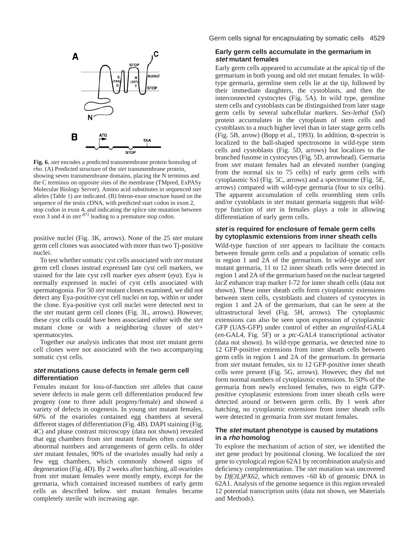

**Fig. 6.** *stet* encodes a predicted transmembrane protein homolog of *rho.* (A) Predicted structure of the *stet* transmembrane protein, showing seven transmembrane domains, placing the N terminus and the C terminus on opposite sites of the membrane (TMpred, ExPASy Molecular Biology Server). Amino acid substitutes in sequenced *stet* alleles (Table 1) are indicated. (B) Intron-exon structure based on the sequence of the testis cDNA, with predicted start codon in exon 2, stop codon in exon 4, and indicating the splice site mutation between exon 3 and 4 in *stet 871* leading to a premature stop codon.

positive nuclei (Fig. 3K, arrows). None of the 25 *stet* mutant germ cell clones was associated with more than two Tj-positive nuclei.

To test whether somatic cyst cells associated with *stet* mutant germ cell clones instead expressed late cyst cell markers, we stained for the late cyst cell marker *eyes absent* (*eya*). Eya is normally expressed in nuclei of cyst cells associated with spermatogonia. For 50 *stet* mutant clones examined, we did not detect any Eya-positive cyst cell nuclei on top, within or under the clone. Eya-positive cyst cell nuclei were detected next to the *stet* mutant germ cell clones (Fig. 3L, arrows). However, these cyst cells could have been associated either with the *stet* mutant clone or with a neighboring cluster of *stet*/+ spermatocytes.

Together our analysis indicates that most *stet* mutant germ cell clones were not associated with the two accompanying somatic cyst cells.

## **stet mutations cause defects in female germ cell differentiation**

Females mutant for loss-of-function *stet* alleles that cause severe defects in male germ cell differentiation produced few progeny (one to three adult progeny/female) and showed a variety of defects in oogenesis. In young *stet* mutant females, 60% of the ovarioles contained egg chambers at several different stages of differentiation (Fig. 4B). DAPI staining (Fig. 4C) and phase contrast microscopy (data not shown) revealed that egg chambers from *stet* mutant females often contained abnormal numbers and arrangements of germ cells. In older *stet* mutant females, 90% of the ovarioles usually had only a few egg chambers, which commonly showed signs of degeneration (Fig. 4D). By 2 weeks after hatching, all ovarioles from *stet* mutant females were mostly empty, except for the germaria, which contained increased numbers of early germ cells as described below. *stet* mutant females became completely sterile with increasing age.

Germ cells signal for encapsulating by somatic cells 4529

# **Early germ cells accumulate in the germarium in stet mutant females**

Early germ cells appeared to accumulate at the apical tip of the germarium in both young and old *stet* mutant females. In wildtype germaria, germline stem cells lie at the tip, followed by their immediate daughters, the cystoblasts, and then the interconnected cystocytes (Fig. 5A). In wild type, germline stem cells and cystoblasts can be distinguished from later stage germ cells by several subcellular markers. *Sex-lethal* (*Sxl*) protein accumulates in the cytoplasm of stem cells and cystoblasts to a much higher level than in later stage germ cells (Fig. 5B, arrow) (Bopp et al., 1993). In addition, α-spectrin is localized to the ball-shaped spectrosome in wild-type stem cells and cystoblasts (Fig. 5D, arrows) but localizes to the branched fusome in cystocytes (Fig. 5D, arrowhead). Germaria from *stet* mutant females had an elevated number (ranging from the normal six to 75 cells) of early germ cells with cytoplasmic Sxl (Fig. 5C, arrows) and a spectrosome (Fig. 5E, arrows) compared with wild-type germaria (four to six cells). The apparent accumulation of cells resembling stem cells and/or cystoblasts in *stet* mutant germaria suggests that wildtype function of *stet* in females plays a role in allowing differentiation of early germ cells.

# **stet is required for enclosure of female germ cells by cytoplasmic extensions from inner sheath cells**

Wild-type function of *stet* appears to facilitate the contacts between female germ cells and a population of somatic cells in region 1 and 2A of the germarium. In wild-type and *stet* mutant germaria, 11 to 12 inner sheath cells were detected in region 1 and 2A of the germarium based on the nuclear targeted *lacZ* enhancer trap marker I-72 for inner sheath cells (data not shown). These inner sheath cells form cytoplasmic extensions between stem cells, cystoblasts and clusters of cystocytes in region 1 and 2A of the germarium, that can be seen at the ultrastructural level (Fig. 5H, arrows). The cytoplasmic extensions can also be seen upon expression of cytoplasmic GFP (UAS-GFP) under control of either an *engrailed*-GAL4 (*en*-GAL4, Fig. 5F) or a *ptc*-GAL4 transcriptional activator (data not shown). In wild-type germaria, we detected nine to 12 GFP-positive extensions from inner sheath cells between germ cells in region 1 and 2A of the germarium. In germaria from *stet* mutant females, six to 12 GFP-positive inner sheath cells were present (Fig. 5G, arrows). However, they did not form normal numbers of cytoplasmic extensions. In 50% of the germaria from newly enclosed females, two to eight GFPpositive cytoplasmic extensions from inner sheath cells were detected around or between germ cells. By 1 week after hatching, no cytoplasmic extensions from inner sheath cells were detected in germaria from *stet* mutant females.

# **The stet mutant phenotype is caused by mutations in a rho homolog**

To explore the mechanism of action of *stet*, we identified the *stet* gene product by positional cloning. We localized the *stet* gene to cytological region 62A1 by recombination analysis and deficiency complementation. The *stet* mutation was uncovered by *Df(3L)PX62,* which removes ~60 kb of genomic DNA in 62A1. Analysis of the genome sequence in this region revealed 12 potential transcription units (data not shown, see Materials and Methods).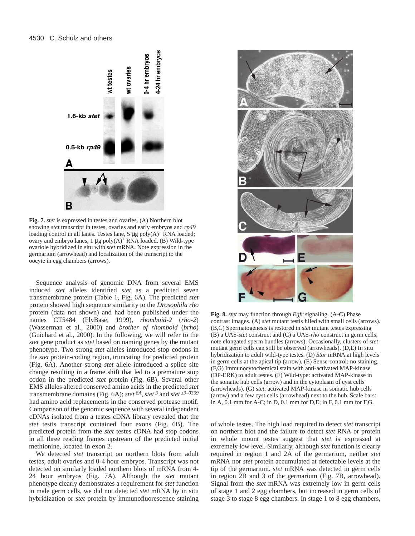

**Fig. 7.** *stet* is expressed in testes and ovaries. (A) Northern blot showing *stet* transcript in testes, ovaries and early embryos and *rp49* loading control in all lanes. Testes lane,  $5 \mu g \text{ poly}(A)^+$  RNA loaded; ovary and embryo lanes,  $1 \mu g \text{ poly}(A)^+$  RNA loaded. (B) Wild-type ovariole hybridized in situ with *stet* mRNA. Note expression in the germarium (arrowhead) and localization of the transcript to the oocyte in egg chambers (arrows).

Sequence analysis of genomic DNA from several EMS induced *stet* alleles identified *stet* as a predicted seven transmembrane protein (Table 1, Fig. 6A). The predicted *stet* protein showed high sequence similarity to the *Drosophila rho* protein (data not shown) and had been published under the names CT5484 (FlyBase, 1999), *rhomboid-2* (*rho-2*) (Wasserman et al., 2000) and *brother of rhomboid* (*brho*) (Guichard et al., 2000). In the following, we will refer to the *stet* gene product as *stet* based on naming genes by the mutant phenotype. Two strong *stet* alleles introduced stop codons in the *stet* protein-coding region, truncating the predicted protein (Fig. 6A). Another strong *stet* allele introduced a splice site change resulting in a frame shift that led to a premature stop codon in the predicted *stet* protein (Fig. 6B). Several other EMS alleles altered conserved amino acids in the predicted *stet* transmembrane domains (Fig. 6A); *stet 8A*, *stet 3* and *stet z3–0369* had amino acid replacements in the conserved protease motif. Comparison of the genomic sequence with several independent cDNAs isolated from a testes cDNA library revealed that the *stet* testis transcript contained four exons (Fig. 6B). The predicted protein from the *stet* testes cDNA had stop codons in all three reading frames upstream of the predicted initial methionine, located in exon 2.

We detected *stet* transcript on northern blots from adult testes, adult ovaries and 0-4 hour embryos. Transcript was not detected on similarly loaded northern blots of mRNA from 4- 24 hour embryos (Fig. 7A). Although the *stet* mutant phenotype clearly demonstrates a requirement for *stet* function in male germ cells, we did not detected *stet* mRNA by in situ hybridization or *stet* protein by immunofluorescence staining



**Fig. 8.** *stet* may function through *Egfr* signaling. (A-C) Phase contrast images. (A) *stet* mutant testis filled with small cells (arrows). (B,C) Spermatogenesis is restored in *stet* mutant testes expressing (B) a UAS-*stet* construct and (C) a UAS-*rho* construct in germ cells, note elongated sperm bundles (arrows). Occasionally, clusters of *stet* mutant germ cells can still be observed (arrowheads). (D,E) In situ hybridization to adult wild-type testes. (D) *Star* mRNA at high levels in germ cells at the apical tip (arrow). (E) Sense-control: no staining. (F,G) Immunocytochemical stain with anti-activated MAP-kinase (DP-ERK) to adult testes. (F) Wild-type: activated MAP-kinase in the somatic hub cells (arrow) and in the cytoplasm of cyst cells (arrowheads). (G) *stet*: activated MAP-kinase in somatic hub cells (arrow) and a few cyst cells (arrowhead) next to the hub. Scale bars: in A, 0.1 mm for A-C; in D, 0.1 mm for D,E; in F, 0.1 mm for F,G.

of whole testes. The high load required to detect *stet* transcript on northern blot and the failure to detect *stet* RNA or protein in whole mount testes suggest that *stet* is expressed at extremely low level. Similarly, although *stet* function is clearly required in region 1 and 2A of the germarium, neither *stet* mRNA nor *stet* protein accumulated at detectable levels at the tip of the germarium. *stet* mRNA was detected in germ cells in region 2B and 3 of the germarium (Fig. 7B, arrowhead). Signal from the *stet* mRNA was extremely low in germ cells of stage 1 and 2 egg chambers, but increased in germ cells of stage 3 to stage 8 egg chambers. In stage 1 to 8 egg chambers,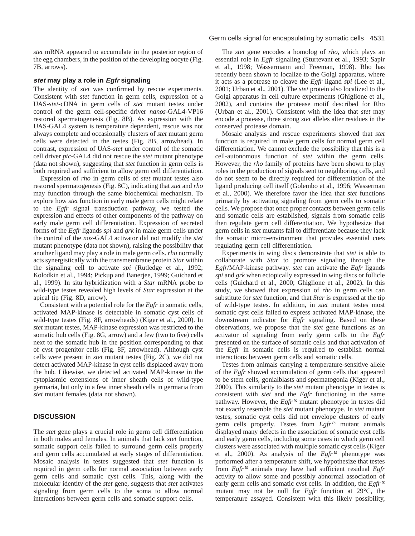*stet* mRNA appeared to accumulate in the posterior region of the egg chambers, in the position of the developing oocyte (Fig. 7B, arrows).

# **stet may play a role in Egfr signaling**

The identity of *stet* was confirmed by rescue experiments. Consistent with *stet* function in germ cells, expression of a UAS-*stet*-cDNA in germ cells of *stet* mutant testes under control of the germ cell-specific driver *nanos*-GAL4-VP16 restored spermatogenesis (Fig. 8B). As expression with the UAS-GAL4 system is temperature dependent, rescue was not always complete and occasionally clusters of *stet* mutant germ cells were detected in the testes (Fig. 8B, arrowhead). In contrast, expression of UAS-*stet* under control of the somatic cell driver *ptc*-GAL4 did not rescue the *stet* mutant phenotype (data not shown), suggesting that *stet* function in germ cells is both required and sufficient to allow germ cell differentiation.

Expression of *rho* in germ cells of *stet* mutant testes also restored spermatogenesis (Fig. 8C), indicating that *stet* and *rho* may function through the same biochemical mechanism. To explore how *stet* function in early male germ cells might relate to the *Egfr* signal transduction pathway, we tested the expression and effects of other components of the pathway on early male germ cell differentiation. Expression of secreted forms of the *Egfr* ligands *spi* and *grk* in male germ cells under the control of the *nos*-GAL4 activator did not modify the *stet* mutant phenotype (data not shown), raising the possibility that another ligand may play a role in male germ cells. *rho* normally acts synergistically with the transmembrane protein *Star* within the signaling cell to activate *spi* (Rutledge et al., 1992; Kolodkin et al., 1994; Pickup and Banerjee, 1999; Guichard et al., 1999). In situ hybridization with a *Star* mRNA probe to wild-type testes revealed high levels of *Star* expression at the apical tip (Fig. 8D, arrow).

Consistent with a potential role for the *Egfr* in somatic cells, activated MAP-kinase is detectable in somatic cyst cells of wild-type testes (Fig. 8F, arrowheads) (Kiger et al., 2000). In *stet* mutant testes, MAP-kinase expression was restricted to the somatic hub cells (Fig. 8G, arrow) and a few (two to five) cells next to the somatic hub in the position corresponding to that of cyst progenitor cells (Fig. 8F, arrowhead). Although cyst cells were present in *stet* mutant testes (Fig. 2C), we did not detect activated MAP-kinase in cyst cells displaced away from the hub. Likewise, we detected activated MAP-kinase in the cytoplasmic extensions of inner sheath cells of wild-type germaria, but only in a few inner sheath cells in germaria from *stet* mutant females (data not shown).

# **DISCUSSION**

The *stet* gene plays a crucial role in germ cell differentiation in both males and females. In animals that lack *stet* function, somatic support cells failed to surround germ cells properly and germ cells accumulated at early stages of differentiation. Mosaic analysis in testes suggested that *stet* function is required in germ cells for normal association between early germ cells and somatic cyst cells. This, along with the molecular identity of the *stet* gene, suggests that *stet* activates signaling from germ cells to the soma to allow normal interactions between germ cells and somatic support cells.

# Germ cells signal for encapsulating by somatic cells 4531

The *stet* gene encodes a homolog of *rho*, which plays an essential role in *Egfr* signaling (Sturtevant et al., 1993; Sapir et al., 1998; Wassermann and Freeman, 1998). Rho has recently been shown to localize to the Golgi apparatus, where it acts as a protease to cleave the *Egfr* ligand *spi* (Lee et al., 2001; Urban et al., 2001). The *stet* protein also localized to the Golgi apparatus in cell culture experiments (Ghiglione et al., 2002), and contains the protease motif described for Rho (Urban et al., 2001). Consistent with the idea that *stet* may encode a protease, three strong *stet* alleles alter residues in the conserved protease domain.

Mosaic analysis and rescue experiments showed that *stet* function is required in male germ cells for normal germ cell differentiation. We cannot exclude the possibility that this is a cell-autonomous function of *stet* within the germ cells. However, the *rho* family of proteins have been shown to play roles in the production of signals sent to neighboring cells, and do not seem to be directly required for differentiation of the ligand producing cell itself (Golembo et al., 1996; Wasserman et al., 2000). We therefore favor the idea that *stet* functions primarily by activating signaling from germ cells to somatic cells. We propose that once proper contacts between germ cells and somatic cells are established, signals from somatic cells then regulate germ cell differentiation. We hypothesize that germ cells in *stet* mutants fail to differentiate because they lack the somatic micro-environment that provides essential cues regulating germ cell differentiation.

Experiments in wing discs demonstrate that *stet* is able to collaborate with *Star* to promote signaling through the *Egfr*/MAP-kinase pathway. *stet* can activate the *Egfr* ligands *spi* and *grk* when ectopically expressed in wing discs or follicle cells (Guichard et al., 2000; Ghiglione et al., 2002). In this study, we showed that expression of *rho* in germ cells can substitute for *stet* function, and that *Star* is expressed at the tip of wild-type testes. In addition, in *stet* mutant testes most somatic cyst cells failed to express activated MAP-kinase, the downstream indicator for *Egfr* signaling. Based on these observations, we propose that the *stet* gene functions as an activator of signaling from early germ cells to the *Egfr* presented on the surface of somatic cells and that activation of the *Egfr* in somatic cells is required to establish normal interactions between germ cells and somatic cells.

Testes from animals carrying a temperature-sensitive allele of the *Egfr* showed accumulation of germ cells that appeared to be stem cells, gonialblasts and spermatogonia (Kiger et al., 2000). This similarity to the *stet* mutant phenotype in testes is consistent with *stet* and the *Egfr* functioning in the same pathway. However, the *Egfrts* mutant phenotype in testes did not exactly resemble the *stet* mutant phenotype. In *stet* mutant testes, somatic cyst cells did not envelope clusters of early germ cells properly. Testes from *Egfrts* mutant animals displayed many defects in the association of somatic cyst cells and early germ cells, including some cases in which germ cell clusters were associated with multiple somatic cyst cells (Kiger et al., 2000). As analysis of the *Egfrts* phenotype was performed after a temperature shift, we hypothesize that testes from *Egfrts* animals may have had sufficient residual *Egfr* activity to allow some and possibly abnormal association of early germ cells and somatic cyst cells. In addition, the *Egfrts* mutant may not be null for *Egfr* function at 29°C, the temperature assayed. Consistent with this likely possibility,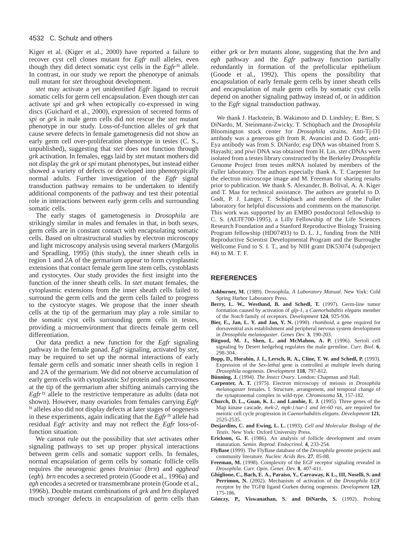Kiger et al. (Kiger et al., 2000) have reported a failure to recover cyst cell clones mutant for *Egfr* null alleles, even though they did detect somatic cyst cells in the *Egfrts* allele. In contrast, in our study we report the phenotype of animals null mutant for *stet* throughout development.

*stet* may activate a yet unidentified *Egfr* ligand to recruit somatic cells for germ cell encapsulation. Even though *stet* can activate *spi* and *grk* when ectopically co-expressed in wing discs (Guichard et al., 2000), expression of secreted forms of *spi* or *grk* in male germ cells did not rescue the *stet* mutant phenotype in our study. Loss-of-function alleles of *grk* that cause severe defects in female gametogenesis did not show an early germ cell over-proliferation phenotype in testes (C. S., unpublished), suggesting that *stet* does not function through *grk* activation. In females, eggs laid by *stet* mutant mothers did not display the *grk* or *spi* mutant phenotypes, but instead either showed a variety of defects or developed into phenotypically normal adults. Further investigation of the *Egfr* signal transduction pathway remains to be undertaken to identify additional components of the pathway and test their potential role in interactions between early germ cells and surrounding somatic cells.

The early stages of gametogenesis in *Drosophila* are strikingly similar in males and females in that, in both sexes, germ cells are in constant contact with encapsulating somatic cells. Based on ultrastructural studies by electron microscopy and light microscopy analysis using several markers (Margolis and Spradling, 1995) (this study), the inner sheath cells in region 1 and 2A of the germarium appear to form cytoplasmic extensions that contact female germ line stem cells, cystoblasts and cystocytes. Our study provides the first insight into the function of the inner sheath cells. In *stet* mutant females, the cytoplasmic extensions from the inner sheath cells failed to surround the germ cells and the germ cells failed to progress to the cystocyte stages. We propose that the inner sheath cells at the tip of the germarium may play a role similar to the somatic cyst cells surrounding germ cells in testes, providing a microenvironment that directs female germ cell differentiation.

Our data predict a new function for the *Egfr* signaling pathway in the female gonad. *Egfr* signaling, activated by *stet*, may be required to set up the normal interactions of early female germ cells and somatic inner sheath cells in region 1 and 2A of the germarium. We did not observe accumulation of early germ cells with cytoplasmic *Sxl* protein and spectrosomes at the tip of the germarium after shifting animals carrying the *Egfrts* allele to the restrictive temperature as adults (data not shown). However, many ovarioles from females carrying *Egfr ts* alleles also did not display defects at later stages of oogenesis in these experiments, again indicating that the *Egfrts* allele had residual *Egfr* activity and may not reflect the *Egfr* loss-offunction situation.

We cannot rule out the possibility that *stet* activates other signaling pathways to set up proper physical interactions between germ cells and somatic support cells. In females, normal encapsulation of germ cells by somatic follicle cells requires the neurogenic genes *brainiac* (*brn*) and *egghead* (*egh*)*. brn* encodes a secreted protein (Goode et al., 1996a) and *egh* encodes a secreted or transmembrane protein (Goode et al., 1996b). Double mutant combinations of *grk* and *brn* displayed much stronger defects in encapsulation of germ cells than either *grk* or *brn* mutants alone, suggesting that the *brn* and *egh* pathway and the *Egfr* pathway function partially redundantly in formation of the prefollicular epithelium (Goode et al., 1992). This opens the possibility that encapsulation of early female germ cells by inner sheath cells and encapsulation of male germ cells by somatic cyst cells depend on another signaling pathway instead of, or in addition to the *Egfr* signal transduction pathway.

We thank J. Hackstein, B. Wakimoto and D. Lindsley; E. Bier, S. DiNardo, M. Steinmann-Zwicky, T. Schüpbach and the *Drosophila* Bloomington stock center for *Drosophila* strains. Anti-Tj-D1 antibody was a generous gift from R. Avancini and D. Godt; anti-Eya antibody was from S. DiNardo; *esg* DNA was obtained from S. Hayashi; and *piwi* DNA was obtained from H. Lin. *stet* cDNAs were isolated from a testes library constructed by the Berkeley *Drosophila* Genome Project from testes mRNA isolated by members of the Fuller laboratory. The authors especially thank A. T. Carpenter for the electron microscope image and M. Freeman for sharing results prior to publication. We thank S. Alexander, B. Bolival, A. A. Kiger and T. Maa for technical assistance. The authors are grateful to D. Godt, P. J. Langer, T. Schüpbach and members of the Fuller laboratory for helpful discussions and comments on the manuscript. This work was supported by an EMBO postdoctoral fellowship to C. S. (ALTF700-1995), a Lilly Fellowship of the Life Sciences Research Foundation and a Stanford Reproductive Biology Training Program fellowship (HD07493) to D. L. J., funding from the NIH Reproductive Scientist Developmental Program and the Burroughe Wellcome Fund to S. I. T., and by NIH grant DK53074 (subproject #4) to M. T. F.

#### **REFERENCES**

- **Ashburner, M.** (1989). Drosophila. *A Laboratory Manual*. New York: Cold Spring Harbor Laboratory Press.
- Berry, L. W., Westlund, B. and Schedl, T. (1997). Germ-line tumor formation caused by activation of *glp-1*, a *Caenorhabditis elegans* member of the *Notch* family of receptors. *Development* **124**, 925-936.
- **Bier, E., Jan, L. Y. and Jan, Y. N.** (1990). *rhomboid*, a gene required for dorsoventral axis establishment and peripheral nervous system development in *Drosophila melanogaster*. *Genes Dev.* **3**, 190-203.
- **Bitgood, M. J., Shen, L. and McMahon, A. P.** (1996). Sertoli cell signaling by Desert hedgehog regulates the male germline. *Curr. Biol*. **6**, 298-304.
- **Bopp, D., Horabin, J. I., Lersch, R. A., Cline, T. W. and Schedl, P.** (1993). Expression of the *Sex-lethal* gene is controlled at multiple levels during *Drosophila* oogenesis. *Development* **118**, 797-812.
- **Bünning, J.** (1994). *The Insect Ovary*. London: Chapman and Hall.
- **Carpenter, A. T.** (1975). Electron microscopy of meiosis in *Drosophila melanogaster* females. I. Structure, arrangement, and temporal change of the synaptonemal complex in wild-type. *Chromosoma* **51**, 157-182.
- **Church, D. L., Guan, K. L. and Lambie, E. J.** (1995). Three genes of the Map kinase cascade, *mek-2, mpk-1/sur-1 and let-60 ras*, are required for meiotic cell cycle progression in *Caenorhabditis elegans*. *Development* **121**, 2525-2535.
- **Desjardins, C. and Ewing, L. L.** (1993). *Cell and Molecular Biology of the Testis*. New York: Oxford University Press.
- **Erickson, G. F.** (1986). An analysis of follicle development and ovum maturation. *Semin. Reprod. Endocrinol*. **4**, 233-254.
- **FlyBase** (1999). The FlyBase database of the *Drosophila* genome projects and community literature. *Nucleic Acids Res.* **27**, 85-88.
- **Freeman, M.** (1998). Complexity of the EGF receptor signaling revealed in *Drosophila. Curr. Opin. Genet. Dev.* **8**, 407-411.
- **Ghiglione, C., Bach, E. A., Paraiso, Y., Carraway, K L., III, Noselli, S. and Perrimon, N.** (2002). Mechanism of activation of the *Drosophila* EGF receptor by the TGFα ligand Gurken during oogenesis. *Development* **129**, 175-186.
- **Gönczy, P., Viswanathan, S. and DiNardo, S.** (1992). Probing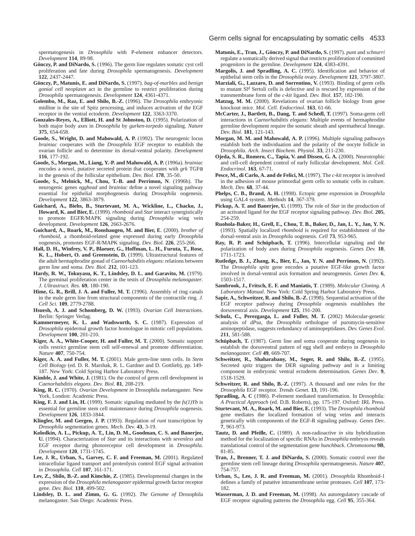spermatogenesis in *Drosophila* with P-element enhancer detectors. *Development* **114**, 89-98.

- **Gönczy, P. and DiNardo, S.** (1996). The germ line regulates somatic cyst cell proliferation and fate during *Drosophila* spermatogenesis. *Development* **122**, 2437-2447.
- **Gönczy, P., Matunis, E. and DiNardo, S.** (1997). *bag-of-marbles* and *benign gonial cell neoplasm* act in the germline to restrict proliferation during *Drosophila* spermatogenesis. *Development* **124**, 4361-4371.
- **Golembo, M., Raz, E. and Shilo, B.-Z.** (1996). The *Drosophila* embryonic midline is the site of Spitz processing, and induces activation of the EGF receptor in the ventral ectoderm. *Development* **122**, 3363-3370.
- **Gonzales-Reyes, A., Elliott, H. and St Johnston, D.** (1995). Polarization of both major body axes in *Drosophila* by *gurken-torpedo* signaling. *Nature* **375**, 654-658.
- **Goode, S., Wright, D. and Mahowald, A. P.** (1992). The neurogenic locus *brainiac* cooperates with the *Drosophila* EGF receptor to establish the ovarian follicle and to determine its dorsal-ventral polarity. *Development* **116**, 177-192.
- **Goode, S., Morgan, M., Liang, Y.-P. and Mahowald, A. P.** (1996a). *brainiac* encodes a novel, putative secreted protein that cooperates with *grk* TGFα in the genesis of the follicular epithelium. *Dev. Biol.* **178**, 35-50.
- **Goode, S., Melnick, M., Chou, T.-B. and Perrimon, N**. (1996b). The neurogenic genes *egghead* and *brainiac* define a novel signaling pathway essential for epithelial morphogenesis during *Drosophila* oogenesis. *Development* **122**, 3863-3879.
- **Guichard, A., Biehs, B., Sturtevant, M. A., Wickline, L., Chacko, J., Howard, K. and Bier, E.** (1999). *rhomboid* and *Star* interact synergistically to promote EGFR/MAPK signaling during *Drosophila* wing vein development. *Development* **126**, 2663-2676.
- **Guichard, A., Roark, M., Ronshaugen, M. and Bier, E**. (2000). *brother of rhomboid*, a rhomboid-related gene expressed during early *Drosophila* oogenesis, promotes EGF-R/MAPK signaling. *Dev. Biol.* **226**, 255-266.
- **Hall, D. H., Winfrey, V. P., Blaeuer, G., Hoffman, L. H., Furuta, T., Rose, K. L., Hobert, O. and Greenstein, D.** (1999). Ultrastructural features of the adult hermaphrodite gonad of *Caenorhabditis elegans*: relations between germ line and soma. *Dev. Biol.* **212**, 101-123.
- **Hardy, R. W., Tokuyasu, K. T., Lindsley, D. L. and Garavito, M.** (1979). The germinal proliferation center in the testis of *Drosophila melanogaster*. *J. Ultrastruct. Res.* **69**, 180-190.
- Hime, G. R., Brill, J. A. and Fuller, M. T. (1996). Assembly of ring canals in the male germ line from structural components of the contractile ring. *J. Cell Sci*. **109**, 2779-2788.
- **Hsuesh, A. J. and Schomberg, D. W.** (1993). *Ovarian Cell Interactions*. Berlin: Springer Verlag.
- **Kammermeyer, K. L. and Wadsworth, S. C.** (1987). Expression of *Drosophila* epidermal growth factor homologue in mitotic cell populations. *Development* **100**, 201-210.
- **Kiger, A. A., White-Cooper, H. and Fuller, M. T.** (2000). Somatic support cells restrict germline stem cell self-renewal and promote differentiation. *Nature* **407**, 750-754.
- **Kiger, A. A. and Fuller, M. T.** (2001). Male germ-line stem cells. In *Stem Cell Biology* (ed. D. R. Marshak, R. L. Gardner and D. Gottlieb), pp. 149- 187. New York: Cold Spring Harbor Laboratory Press.
- **Kimble, J. and White, J.** (1981). On the control of germ cell development in *Caenorhabditis elegans*. *Dev. Biol.* **81**, 208-219.
- **King, R. C.** (1970). *Ovarian Development in* Drosophila melanogaster. New York, London: Academic Press.
- **King, F. J. and Lin, H.** (1999). Somatic signaling mediated by the  $f_s(1)Yb$  is essential for germline stem cell maintenance during *Drosophila* oogenesis. *Development* **126**, 1833-1844.
- **Klingler, M. and Gergen, J. P.** (1993). Regulation of *runt* transcription by *Drosophila* segmentation genes. *Mech. Dev.* **43**, 3-19.
- **Kolodkin, A. L., Pickup, A. T., Lin, D. M., Goodman, C. S. and Banerjee, U.** (1994). Characterization of *Star* and its interactions with *sevenless* and EGF receptor during photoreceptor cell development in *Drosophila. Development* **120**, 1731-1745.
- **Lee, J. R., Urban, S., Garvey, C. F. and Freeman, M.** (2001). Regulated intracellular ligand transport and proteolysis control EGF signal activation in *Drosophila*. *Cell* **107**, 161-171.
- **Lev, Z., Shilo, B.-Z. and Kimchie, Z.** (1985). Developmental changes in the expression of the *Drosophila melanogaster* epidermal growth factor receptor gene. *Dev. Biol.* **110**, 499-502.
- **Lindsley, D. L. and Zimm, G. G.** (1992). *The Genome of* Drosophila melanogaster. San Diego: Academic Press.
- **Matunis, E., Tran, J., Gönczy, P. and DiNardo, S.** (1997). *punt* and *schnurri* regulate a somatically derived signal that restricts proliferation of committed progenitors in the germline. *Development* **124**, 4383-4391.
- **Margolis, J. and Spradling, A. C.** (1995). Identification and behavior of epithelial stem cells in the *Drosophila* ovary. *Development* **121**, 3797-3807.
- **Marziali, G., Lazzaro, D. and Sorrentino, V.** (1993). Binding of germ cells to mutant Sl<sup>d</sup> Sertoli cells is defective and is rescued by expression of the transmembrane form of the *c-kit* ligand. *Dev. Biol.* **157**, 182-190.
- **Matzug, M. M.** (2000). Revelations of ovarian follicle biology from gene knockout mice. *Mol. Cell. Endocrinol.* **163**, 61-66.
- **McCarter, J., Bartlett, B., Dang, T. and Schedl, T.** (1997). Soma-germ cell interactions in *Caenorhabditis elegans*: Multiple events of hermaphrodite germline development require the somatic sheath and spermathecal lineage. *Dev. Biol.* **181**, 121-143.
- **Morgan, M. M. and Mahowald, A. P.** (1996). Multiple signaling pathways establish both the individuation and the polarity of the oocyte follicle in *Drosophila*. *Arch. Insect Biochem. Physiol.* **33**, 211-230.
- **Ojeda, S. R., Romero, C., Tapia, V. and Dissen, G. A.** (2000). Neurotrophic and cell-cell dependent control of early follicular development. *Mol. Cell. Endocrinol.* **163**, 67-71.
- **Pesce, M., di Carlo, A. and de Felici, M.** (1997). The *c-kit* receptor is involved in the adhesion of mouse primordial germ cells to somatic cells in culture. *Mech. Dev.* **68**, 37-44.
- **Phelps, C. B., Brand, A. H.** (1998). Ectopic gene expression in *Drosophila* using GAL4 system. *Methods* **14**, 367-379.
- **Pickup, A. T. and Banerjee, U.** (1999). The role of *Star* in the production of an activated ligand for the EGF receptor signaling pathway. *Dev. Biol.* **205**, 254-259.
- **Ruohola-Baker, H., Grell, E., Chou, T. B., Baker, D., Jan, L. Y., Jan, Y. N.** (1993). Spatially localized *rhomboid* is required for establishment of the dorsal-ventral axis in *Drosophila* oogenesis. *Cell* **73**, 953-965.
- **Ray, R. P. and Schüpbach, T.** (1996). Intercellular signaling and the polarization of body axes during *Drosophila* oogenesis. *Genes Dev.* **10**, 1711-1723.
- **Rutledge, B. J., Zhang, K., Bier, E., Jan, Y. N. and Perrimon, N.** (1992). The *Drosophila spitz* gene encodes a putative EGF-like growth factor involved in dorsal-ventral axis formation and neurogenesis. *Genes Dev.* **6**, 1503-1517.
- **Sambrook, J., Fritsch, E. F. and Maniatis, T**. (1989). *Molecular Cloning. A Laboratory Manual*. New York: Cold Spring Harbor Laboratory Press.
- **Sapir, A., Schweitzer, R. and Shilo, B.-Z.** (1998). Sequential activation of the EGF receptor pathway during *Drosophila* oogenesis establishes the dorsoventral axis. *Development* **125**, 191-200.
- **Schulz, C., Perezgasga, L. and Fuller, M. T.** (2002) Molecular-genetic analysis of *dPsa*, the *Drosophila* orthologue of puromycin-sensitive aminopeptidase, suggests redundancy of aminopeptidases. *Dev. Genes Evol*. **211**, 581-588.
- **Schüpbach, T.** (1987). Germ line and soma cooperate during oogenesis to establish the dorsoventral pattern of egg shell and embryo in *Drosophila melanogaster. Cell* **49**, 669-707.
- **Schweitzer, R., Shaharabany, M., Seger, R. and Shilo, B.-Z.** (1995). Secreted *spitz* triggers the DER signaling pathway and is a limiting component in embryonic ventral ectoderm determination. *Genes Dev*. **9**, 1518-1529.
- **Schweitzer, R. and Shilo, B.-Z.** (1997). A thousand and one roles for the *Drosophila* EGF receptor. *Trends Genet.* **13**, 191-196.
- **Spradling, A. C** (1986). P-element mediated transformation. In Drosophila*: A Practical Approach* (ed. D.B. Roberts), pp. 175-197. Oxford: IRL Press.
- **Sturtevant, M. A., Roark, M. and Bier, E.** (1993). The *Drosophila rhomboid* gene mediates the localized formation of wing veins and interacts genetically with components of the EGF-R signaling pathway. *Genes Dev*. **7**, 961-973.
- **Tautz, D. and Pfeifle, C.** (1989). A non-radioactive *in situ* hybridization method for the localization of specific RNAs in *Drosophila* embryos reveals translational control of the segmentation gene *hunchback*. *Chromosoma* **9B**, 81-85.
- **Tran, J., Brenner, T. J. and DiNardo, S.** (2000). Somatic control over the germline stem cell lineage during *Drosophila* spermatogenesis. *Nature* **407**, 754-757.
- **Urban, S., Lee, J. R. and Freeman, M.** (2001). *Drosophila* Rhomboid-1 defines a family of putative intramembrane serine proteases. *Cell* **107**, 173- 182.
- **Wasserman, J. D. and Freeman, M.** (1998). An autoregulatory cascade of EGF receptor signaling patterns the *Drosophila* egg. *Cell* **95**, 355-364.